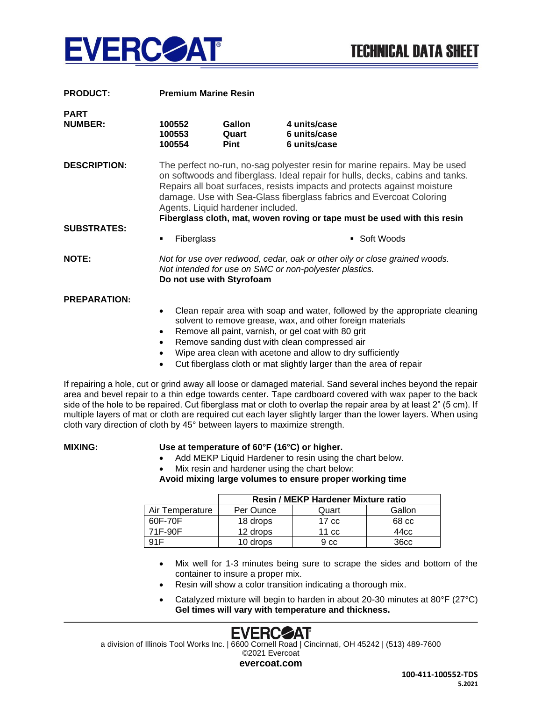

| <b>PRODUCT:</b>               | <b>Premium Marine Resin</b>                                                                                                                                                                                                                                                                                                                                                                                                     |                                |                                                                                                                                                                                                                                                                                                                 |  |  |
|-------------------------------|---------------------------------------------------------------------------------------------------------------------------------------------------------------------------------------------------------------------------------------------------------------------------------------------------------------------------------------------------------------------------------------------------------------------------------|--------------------------------|-----------------------------------------------------------------------------------------------------------------------------------------------------------------------------------------------------------------------------------------------------------------------------------------------------------------|--|--|
| <b>PART</b><br><b>NUMBER:</b> | 100552<br>100553<br>100554                                                                                                                                                                                                                                                                                                                                                                                                      | <b>Gallon</b><br>Quart<br>Pint | 4 units/case<br>6 units/case<br>6 units/case                                                                                                                                                                                                                                                                    |  |  |
| <b>DESCRIPTION:</b>           | The perfect no-run, no-sag polyester resin for marine repairs. May be used<br>on softwoods and fiberglass. Ideal repair for hulls, decks, cabins and tanks.<br>Repairs all boat surfaces, resists impacts and protects against moisture<br>damage. Use with Sea-Glass fiberglass fabrics and Evercoat Coloring<br>Agents. Liquid hardener included.<br>Fiberglass cloth, mat, woven roving or tape must be used with this resin |                                |                                                                                                                                                                                                                                                                                                                 |  |  |
| <b>SUBSTRATES:</b>            | Fiberglass<br>٠                                                                                                                                                                                                                                                                                                                                                                                                                 |                                | ■ Soft Woods                                                                                                                                                                                                                                                                                                    |  |  |
| <b>NOTE:</b>                  | Not for use over redwood, cedar, oak or other oily or close grained woods.<br>Not intended for use on SMC or non-polyester plastics.<br>Do not use with Styrofoam                                                                                                                                                                                                                                                               |                                |                                                                                                                                                                                                                                                                                                                 |  |  |
| <b>PREPARATION:</b>           | $\bullet$<br>$\bullet$<br>$\bullet$                                                                                                                                                                                                                                                                                                                                                                                             |                                | Clean repair area with soap and water, followed by the appropriate cleaning<br>solvent to remove grease, wax, and other foreign materials<br>Remove all paint, varnish, or gel coat with 80 grit<br>Remove sanding dust with clean compressed air<br>Wipe area clean with acetone and allow to dry sufficiently |  |  |

• Cut fiberglass cloth or mat slightly larger than the area of repair

If repairing a hole, cut or grind away all loose or damaged material. Sand several inches beyond the repair area and bevel repair to a thin edge towards center. Tape cardboard covered with wax paper to the back side of the hole to be repaired. Cut fiberglass mat or cloth to overlap the repair area by at least 2" (5 cm). If multiple layers of mat or cloth are required cut each layer slightly larger than the lower layers. When using cloth vary direction of cloth by 45° between layers to maximize strength.

## **MIXING: Use at temperature of 60°F (16°C) or higher.**

- Add MEKP Liquid Hardener to resin using the chart below.
- Mix resin and hardener using the chart below:

**Avoid mixing large volumes to ensure proper working time**

|                 | <b>Resin / MEKP Hardener Mixture ratio</b> |                  |                  |  |
|-----------------|--------------------------------------------|------------------|------------------|--|
| Air Temperature | Per Ounce                                  | Quart            | Gallon           |  |
| 60F-70F         | 18 drops                                   | 17 <sub>cc</sub> | 68 cc            |  |
| 71F-90F         | 12 drops                                   | 11 <sub>cc</sub> | 44cc             |  |
| 91F             | 10 drops                                   | 9 <sub>cc</sub>  | 36 <sub>cc</sub> |  |

- Mix well for 1-3 minutes being sure to scrape the sides and bottom of the container to insure a proper mix.
- Resin will show a color transition indicating a thorough mix.
- Catalyzed mixture will begin to harden in about 20-30 minutes at 80°F (27°C) **Gel times will vary with temperature and thickness.**



a division of Illinois Tool Works Inc. | 6600 Cornell Road | Cincinnati, OH 45242 | (513) 489-7600 ©2021 Evercoat

**evercoat.com**